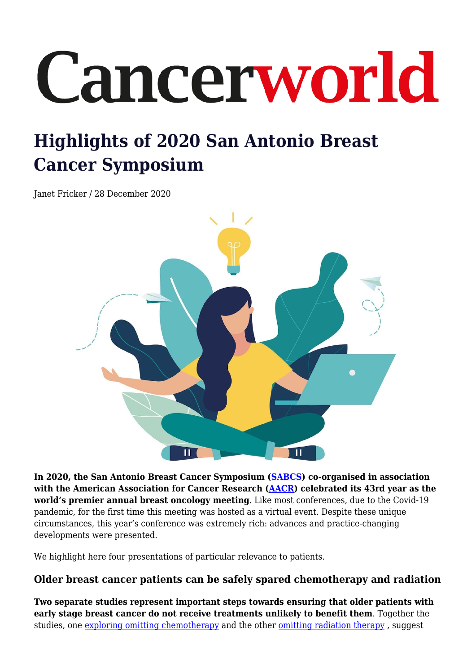# Cancerworld

## **Highlights of 2020 San Antonio Breast Cancer Symposium**

Janet Fricker / 28 December 2020



**In 2020, the San Antonio Breast Cancer Symposium [\(SABCS\)](https://www.aacr.org/meeting/san-antonio-breast-cancer-symposium/) co-organised in association with the American Association for Cancer Research ([AACR\)](https://www.aacr.org/about-the-aacr/) celebrated its 43rd year as the world's premier annual breast oncology meeting**. Like most conferences, due to the Covid-19 pandemic, for the first time this meeting was hosted as a virtual event. Despite these unique circumstances, this year's conference was extremely rich: advances and practice-changing developments were presented.

We highlight here four presentations of particular relevance to patients.

### **Older breast cancer patients can be safely spared chemotherapy and radiation**

**Two separate studies represent important steps towards ensuring that older patients with early stage breast cancer do not receive treatments unlikely to benefit them**. Together the studies, one [exploring omitting chemotherapy](https://www.abstractsonline.com/pp8/#!/9223/presentation/2794) and the other [omitting radiation therapy](https://www.abstractsonline.com/pp8/#!/9223/presentation/579), suggest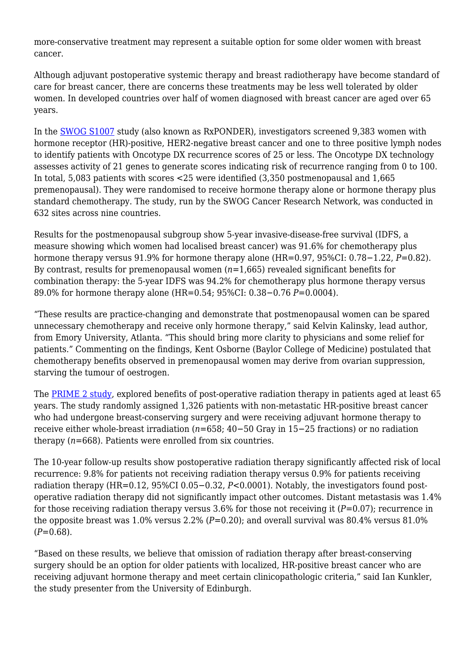more-conservative treatment may represent a suitable option for some older women with breast cancer.

Although adjuvant postoperative systemic therapy and breast radiotherapy have become standard of care for breast cancer, there are concerns these treatments may be less well tolerated by older women. In developed countries over half of women diagnosed with breast cancer are aged over 65 years.

In the [SWOG S1007](https://www.abstractsonline.com/pp8/#!/9223/presentation/2794) study (also known as RxPONDER), investigators screened 9,383 women with hormone receptor (HR)-positive, HER2-negative breast cancer and one to three positive lymph nodes to identify patients with Oncotype DX recurrence scores of 25 or less. The Oncotype DX technology assesses activity of 21 genes to generate scores indicating risk of recurrence ranging from 0 to 100. In total, 5,083 patients with scores <25 were identified (3,350 postmenopausal and 1,665 premenopausal). They were randomised to receive hormone therapy alone or hormone therapy plus standard chemotherapy. The study, run by the SWOG Cancer Research Network, was conducted in 632 sites across nine countries.

Results for the postmenopausal subgroup show 5-year invasive-disease-free survival (IDFS, a measure showing which women had localised breast cancer) was 91.6% for chemotherapy plus hormone therapy versus 91.9% for hormone therapy alone (HR=0.97, 95%CI: 0.78−1.22, *P*=0.82). By contrast, results for premenopausal women (*n*=1,665) revealed significant benefits for combination therapy: the 5-year IDFS was 94.2% for chemotherapy plus hormone therapy versus 89.0% for hormone therapy alone (HR=0.54; 95%CI: 0.38−0.76 *P*=0.0004).

"These results are practice-changing and demonstrate that postmenopausal women can be spared unnecessary chemotherapy and receive only hormone therapy," said Kelvin Kalinsky, lead author, from Emory University, Atlanta. "This should bring more clarity to physicians and some relief for patients." Commenting on the findings, Kent Osborne (Baylor College of Medicine) postulated that chemotherapy benefits observed in premenopausal women may derive from ovarian suppression, starving the tumour of oestrogen.

The [PRIME 2 study,](https://www.abstractsonline.com/pp8/#!/9223/presentation/579) explored benefits of post-operative radiation therapy in patients aged at least 65 years. The study randomly assigned 1,326 patients with non-metastatic HR-positive breast cancer who had undergone breast-conserving surgery and were receiving adjuvant hormone therapy to receive either whole-breast irradiation (*n*=658; 40−50 Gray in 15−25 fractions) or no radiation therapy (*n*=668). Patients were enrolled from six countries.

The 10-year follow-up results show postoperative radiation therapy significantly affected risk of local recurrence: 9.8% for patients not receiving radiation therapy versus 0.9% for patients receiving radiation therapy (HR=0.12, 95%CI 0.05−0.32, *P*<0.0001). Notably, the investigators found postoperative radiation therapy did not significantly impact other outcomes. Distant metastasis was 1.4% for those receiving radiation therapy versus 3.6% for those not receiving it (*P*=0.07); recurrence in the opposite breast was 1.0% versus 2.2% ( $P=0.20$ ); and overall survival was 80.4% versus 81.0%  $(P=0.68)$ .

"Based on these results, we believe that omission of radiation therapy after breast-conserving surgery should be an option for older patients with localized, HR-positive breast cancer who are receiving adjuvant hormone therapy and meet certain clinicopathologic criteria," said Ian Kunkler, the study presenter from the University of Edinburgh.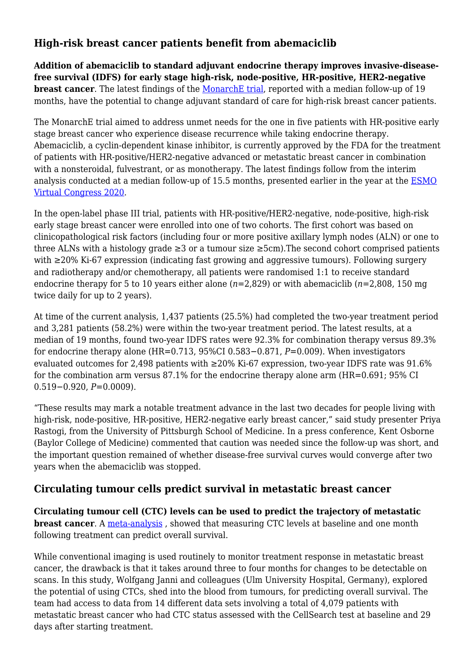### **High-risk breast cancer patients benefit from abemaciclib**

**Addition of abemaciclib to standard adjuvant endocrine therapy improves invasive-diseasefree survival (IDFS) for early stage high-risk, node-positive, HR-positive, HER2-negative breast cancer**. The latest findings of the [MonarchE trial,](https://www.abstractsonline.com/pp8/#!/9223/presentation/664) reported with a median follow-up of 19 months, have the potential to change adjuvant standard of care for high-risk breast cancer patients.

The MonarchE trial aimed to address unmet needs for the one in five patients with HR-positive early stage breast cancer who experience disease recurrence while taking endocrine therapy. Abemaciclib, a cyclin-dependent kinase inhibitor, is currently approved by the FDA for the treatment of patients with HR-positive/HER2-negative advanced or metastatic breast cancer in combination with a nonsteroidal, fulvestrant, or as monotherapy. The latest findings follow from the interim analysis conducted at a median follow-up of 15.5 months, presented earlier in the year at the [ESMO](https://www.esmo.org/meetings/past-meetings/esmo-virtual-congress-2020) [Virtual Congress 2020](https://www.esmo.org/meetings/past-meetings/esmo-virtual-congress-2020).

In the open-label phase III trial, patients with HR-positive/HER2-negative, node-positive, high-risk early stage breast cancer were enrolled into one of two cohorts. The first cohort was based on clinicopathological risk factors (including four or more positive axillary lymph nodes (ALN) or one to three ALNs with a histology grade  $\geq 3$  or a tumour size  $\geq 5$ cm). The second cohort comprised patients with ≥20% Ki-67 expression (indicating fast growing and aggressive tumours). Following surgery and radiotherapy and/or chemotherapy, all patients were randomised 1:1 to receive standard endocrine therapy for 5 to 10 years either alone (*n*=2,829) or with abemaciclib (*n*=2,808, 150 mg twice daily for up to 2 years).

At time of the current analysis, 1,437 patients (25.5%) had completed the two-year treatment period and 3,281 patients (58.2%) were within the two-year treatment period. The latest results, at a median of 19 months, found two-year IDFS rates were 92.3% for combination therapy versus 89.3% for endocrine therapy alone (HR=0.713, 95%CI 0.583−0.871, *P*=0.009). When investigators evaluated outcomes for 2.498 patients with  $\geq$ 20% Ki-67 expression, two-year IDFS rate was 91.6% for the combination arm versus 87.1% for the endocrine therapy alone arm (HR=0.691; 95% CI 0.519−0.920, *P*=0.0009).

"These results may mark a notable treatment advance in the last two decades for people living with high-risk, node-positive, HR-positive, HER2-negative early breast cancer," said study presenter Priya Rastogi, from the University of Pittsburgh School of Medicine. In a press conference, Kent Osborne (Baylor College of Medicine) commented that caution was needed since the follow-up was short, and the important question remained of whether disease-free survival curves would converge after two years when the abemaciclib was stopped.

#### **Circulating tumour cells predict survival in metastatic breast cancer**

**Circulating tumour cell (CTC) levels can be used to predict the trajectory of metastatic breast cancer**. A [meta-analysis](https://www.abstractsonline.com/pp8/#!/9223/presentation/685), showed that measuring CTC levels at baseline and one month following treatment can predict overall survival.

While conventional imaging is used routinely to monitor treatment response in metastatic breast cancer, the drawback is that it takes around three to four months for changes to be detectable on scans. In this study, Wolfgang Janni and colleagues (Ulm University Hospital, Germany), explored the potential of using CTCs, shed into the blood from tumours, for predicting overall survival. The team had access to data from 14 different data sets involving a total of 4,079 patients with metastatic breast cancer who had CTC status assessed with the CellSearch test at baseline and 29 days after starting treatment.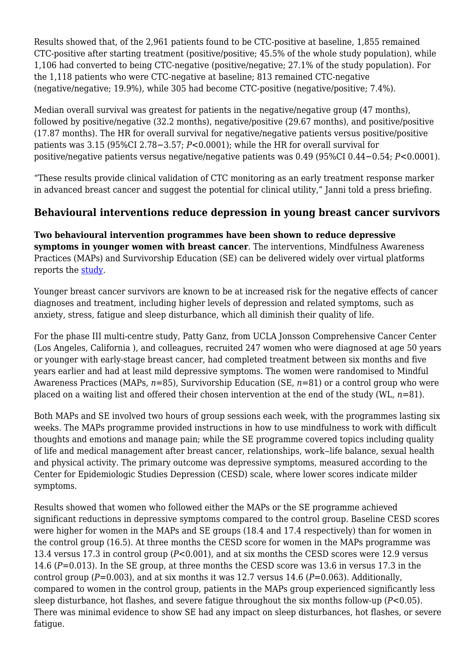Results showed that, of the 2,961 patients found to be CTC-positive at baseline, 1,855 remained CTC-positive after starting treatment (positive/positive; 45.5% of the whole study population), while 1,106 had converted to being CTC-negative (positive/negative; 27.1% of the study population). For the 1,118 patients who were CTC-negative at baseline; 813 remained CTC-negative (negative/negative; 19.9%), while 305 had become CTC-positive (negative/positive; 7.4%).

Median overall survival was greatest for patients in the negative/negative group (47 months), followed by positive/negative (32.2 months), negative/positive (29.67 months), and positive/positive (17.87 months). The HR for overall survival for negative/negative patients versus positive/positive patients was 3.15 (95%CI 2.78−3.57; *P*<0.0001); while the HR for overall survival for positive/negative patients versus negative/negative patients was 0.49 (95%CI 0.44−0.54; *P*<0.0001).

"These results provide clinical validation of CTC monitoring as an early treatment response marker in advanced breast cancer and suggest the potential for clinical utility," Janni told a press briefing.

### **Behavioural interventions reduce depression in young breast cancer survivors**

**Two behavioural intervention programmes have been shown to reduce depressive symptoms in younger women with breast cancer**. The interventions, Mindfulness Awareness Practices (MAPs) and Survivorship Education (SE) can be delivered widely over virtual platforms reports the [study](https://www.abstractsonline.com/pp8/#!/9223/presentation/1724).

Younger breast cancer survivors are known to be at increased risk for the negative effects of cancer diagnoses and treatment, including higher levels of depression and related symptoms, such as anxiety, stress, fatigue and sleep disturbance, which all diminish their quality of life.

For the phase III multi-centre study, Patty Ganz, from UCLA Jonsson Comprehensive Cancer Center (Los Angeles, California ), and colleagues, recruited 247 women who were diagnosed at age 50 years or younger with early-stage breast cancer, had completed treatment between six months and five years earlier and had at least mild depressive symptoms. The women were randomised to Mindful Awareness Practices (MAPs, *n*=85), Survivorship Education (SE, *n*=81) or a control group who were placed on a waiting list and offered their chosen intervention at the end of the study (WL, *n*=81).

Both MAPs and SE involved two hours of group sessions each week, with the programmes lasting six weeks. The MAPs programme provided instructions in how to use mindfulness to work with difficult thoughts and emotions and manage pain; while the SE programme covered topics including quality of life and medical management after breast cancer, relationships, work–life balance, sexual health and physical activity. The primary outcome was depressive symptoms, measured according to the Center for Epidemiologic Studies Depression (CESD) scale, where lower scores indicate milder symptoms.

Results showed that women who followed either the MAPs or the SE programme achieved significant reductions in depressive symptoms compared to the control group. Baseline CESD scores were higher for women in the MAPs and SE groups (18.4 and 17.4 respectively) than for women in the control group (16.5). At three months the CESD score for women in the MAPs programme was 13.4 versus 17.3 in control group (*P*<0.001), and at six months the CESD scores were 12.9 versus 14.6 (*P*=0.013). In the SE group, at three months the CESD score was 13.6 in versus 17.3 in the control group (*P*=0.003), and at six months it was 12.7 versus 14.6 (*P*=0.063). Additionally, compared to women in the control group, patients in the MAPs group experienced significantly less sleep disturbance, hot flashes, and severe fatigue throughout the six months follow-up (*P*<0.05). There was minimal evidence to show SE had any impact on sleep disturbances, hot flashes, or severe fatigue.